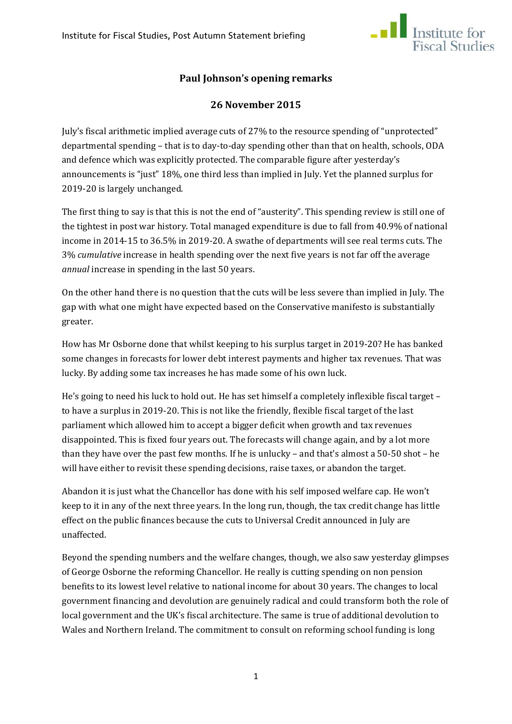

# **Paul Johnson's opening remarks**

# **26 November 2015**

July's fiscal arithmetic implied average cuts of 27% to the resource spending of "unprotected" departmental spending – that is to day-to-day spending other than that on health, schools, ODA and defence which was explicitly protected. The comparable figure after yesterday's announcements is "just" 18%, one third less than implied in July. Yet the planned surplus for 2019-20 is largely unchanged.

The first thing to say is that this is not the end of "austerity". This spending review is still one of the tightest in post war history. Total managed expenditure is due to fall from 40.9% of national income in 2014-15 to 36.5% in 2019-20. A swathe of departments will see real terms cuts. The 3% *cumulative* increase in health spending over the next five years is not far off the average *annual* increase in spending in the last 50 years.

On the other hand there is no question that the cuts will be less severe than implied in July. The gap with what one might have expected based on the Conservative manifesto is substantially greater.

How has Mr Osborne done that whilst keeping to his surplus target in 2019-20? He has banked some changes in forecasts for lower debt interest payments and higher tax revenues. That was lucky. By adding some tax increases he has made some of his own luck.

He's going to need his luck to hold out. He has set himself a completely inflexible fiscal target – to have a surplus in 2019-20. This is not like the friendly, flexible fiscal target of the last parliament which allowed him to accept a bigger deficit when growth and tax revenues disappointed. This is fixed four years out. The forecasts will change again, and by a lot more than they have over the past few months. If he is unlucky – and that's almost a 50-50 shot – he will have either to revisit these spending decisions, raise taxes, or abandon the target.

Abandon it is just what the Chancellor has done with his self imposed welfare cap. He won't keep to it in any of the next three years. In the long run, though, the tax credit change has little effect on the public finances because the cuts to Universal Credit announced in July are unaffected.

Beyond the spending numbers and the welfare changes, though, we also saw yesterday glimpses of George Osborne the reforming Chancellor. He really is cutting spending on non pension benefits to its lowest level relative to national income for about 30 years. The changes to local government financing and devolution are genuinely radical and could transform both the role of local government and the UK's fiscal architecture. The same is true of additional devolution to Wales and Northern Ireland. The commitment to consult on reforming school funding is long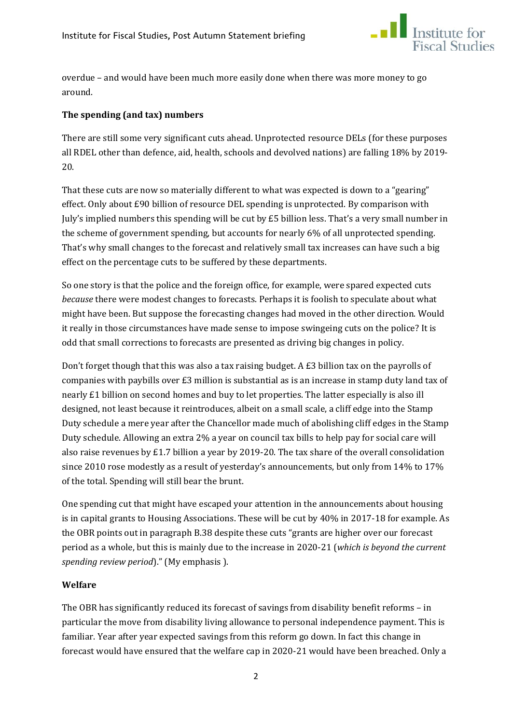

overdue – and would have been much more easily done when there was more money to go around.

### **The spending (and tax) numbers**

There are still some very significant cuts ahead. Unprotected resource DELs (for these purposes all RDEL other than defence, aid, health, schools and devolved nations) are falling 18% by 2019- 20.

That these cuts are now so materially different to what was expected is down to a "gearing" effect. Only about £90 billion of resource DEL spending is unprotected. By comparison with July's implied numbers this spending will be cut by £5 billion less. That's a very small number in the scheme of government spending, but accounts for nearly 6% of all unprotected spending. That's why small changes to the forecast and relatively small tax increases can have such a big effect on the percentage cuts to be suffered by these departments.

So one story is that the police and the foreign office, for example, were spared expected cuts *because* there were modest changes to forecasts. Perhaps it is foolish to speculate about what might have been. But suppose the forecasting changes had moved in the other direction. Would it really in those circumstances have made sense to impose swingeing cuts on the police? It is odd that small corrections to forecasts are presented as driving big changes in policy.

Don't forget though that this was also a tax raising budget. A £3 billion tax on the payrolls of companies with paybills over £3 million is substantial as is an increase in stamp duty land tax of nearly £1 billion on second homes and buy to let properties. The latter especially is also ill designed, not least because it reintroduces, albeit on a small scale, a cliff edge into the Stamp Duty schedule a mere year after the Chancellor made much of abolishing cliff edges in the Stamp Duty schedule. Allowing an extra 2% a year on council tax bills to help pay for social care will also raise revenues by £1.7 billion a year by 2019-20. The tax share of the overall consolidation since 2010 rose modestly as a result of yesterday's announcements, but only from 14% to 17% of the total. Spending will still bear the brunt.

One spending cut that might have escaped your attention in the announcements about housing is in capital grants to Housing Associations. These will be cut by 40% in 2017-18 for example. As the OBR points out in paragraph B.38 despite these cuts "grants are higher over our forecast period as a whole, but this is mainly due to the increase in 2020-21 (*which is beyond the current spending review period*)." (My emphasis ).

#### **Welfare**

The OBR has significantly reduced its forecast of savings from disability benefit reforms – in particular the move from disability living allowance to personal independence payment. This is familiar. Year after year expected savings from this reform go down. In fact this change in forecast would have ensured that the welfare cap in 2020-21 would have been breached. Only a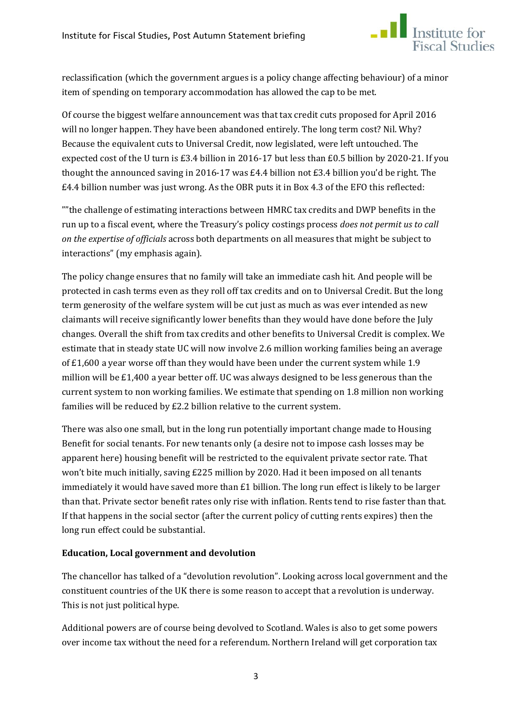

reclassification (which the government argues is a policy change affecting behaviour) of a minor item of spending on temporary accommodation has allowed the cap to be met.

Of course the biggest welfare announcement was that tax credit cuts proposed for April 2016 will no longer happen. They have been abandoned entirely. The long term cost? Nil. Why? Because the equivalent cuts to Universal Credit, now legislated, were left untouched. The expected cost of the U turn is £3.4 billion in 2016-17 but less than £0.5 billion by 2020-21. If you thought the announced saving in 2016-17 was £4.4 billion not £3.4 billion you'd be right. The £4.4 billion number was just wrong. As the OBR puts it in Box 4.3 of the EFO this reflected:

""the challenge of estimating interactions between HMRC tax credits and DWP benefits in the run up to a fiscal event, where the Treasury's policy costings process *does not permit us to call on the expertise of officials* across both departments on all measures that might be subject to interactions" (my emphasis again).

The policy change ensures that no family will take an immediate cash hit. And people will be protected in cash terms even as they roll off tax credits and on to Universal Credit. But the long term generosity of the welfare system will be cut just as much as was ever intended as new claimants will receive significantly lower benefits than they would have done before the July changes. Overall the shift from tax credits and other benefits to Universal Credit is complex. We estimate that in steady state UC will now involve 2.6 million working families being an average of £1,600 a year worse off than they would have been under the current system while 1.9 million will be £1,400 a year better off. UC was always designed to be less generous than the current system to non working families. We estimate that spending on 1.8 million non working families will be reduced by £2.2 billion relative to the current system.

There was also one small, but in the long run potentially important change made to Housing Benefit for social tenants. For new tenants only (a desire not to impose cash losses may be apparent here) housing benefit will be restricted to the equivalent private sector rate. That won't bite much initially, saving £225 million by 2020. Had it been imposed on all tenants immediately it would have saved more than  $E1$  billion. The long run effect is likely to be larger than that. Private sector benefit rates only rise with inflation. Rents tend to rise faster than that. If that happens in the social sector (after the current policy of cutting rents expires) then the long run effect could be substantial.

# **Education, Local government and devolution**

The chancellor has talked of a "devolution revolution". Looking across local government and the constituent countries of the UK there is some reason to accept that a revolution is underway. This is not just political hype.

Additional powers are of course being devolved to Scotland. Wales is also to get some powers over income tax without the need for a referendum. Northern Ireland will get corporation tax